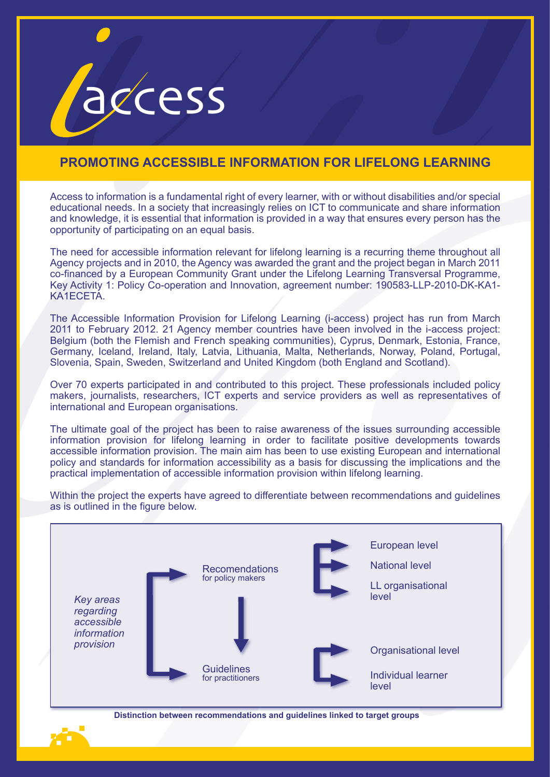

## **PROMOTING ACCESSIBLE INFORMATION FOR LIFELONG LEARNING**

Access to information is a fundamental right of every learner, with or without disabilities and/or special educational needs. In a society that increasingly relies on ICT to communicate and share information and knowledge, it is essential that information is provided in a way that ensures every person has the opportunity of participating on an equal basis.

The need for accessible information relevant for lifelong learning is a recurring theme throughout all Agency projects and in 2010, the Agency was awarded the grant and the project began in March 2011 co-financed by a European Community Grant under the Lifelong Learning Transversal Programme, Key Activity 1: Policy Co-operation and Innovation, agreement number: 190583-LLP-2010-DK-KA1- KA1ECETA.

The Accessible Information Provision for Lifelong Learning (i-access) project has run from March 2011 to February 2012. 21 Agency member countries have been involved in the i-access project: Belgium (both the Flemish and French speaking communities), Cyprus, Denmark, Estonia, France, Germany, Iceland, Ireland, Italy, Latvia, Lithuania, Malta, Netherlands, Norway, Poland, Portugal, Slovenia, Spain, Sweden, Switzerland and United Kingdom (both England and Scotland).

Over 70 experts participated in and contributed to this project. These professionals included policy makers, journalists, researchers, ICT experts and service providers as well as representatives of international and European organisations.

The ultimate goal of the project has been to raise awareness of the issues surrounding accessible information provision for lifelong learning in order to facilitate positive developments towards accessible information provision. The main aim has been to use existing European and international policy and standards for information accessibility as a basis for discussing the implications and the practical implementation of accessible information provision within lifelong learning.

Recomendations for policy makers Guidelines for practitioners *Key areas regarding accessible information provision* European level National level LL organisational level Organisational level Individual learner level

Within the project the experts have agreed to differentiate between recommendations and guidelines as is outlined in the figure below.

**Distinction between recommendations and guidelines linked to target groups**

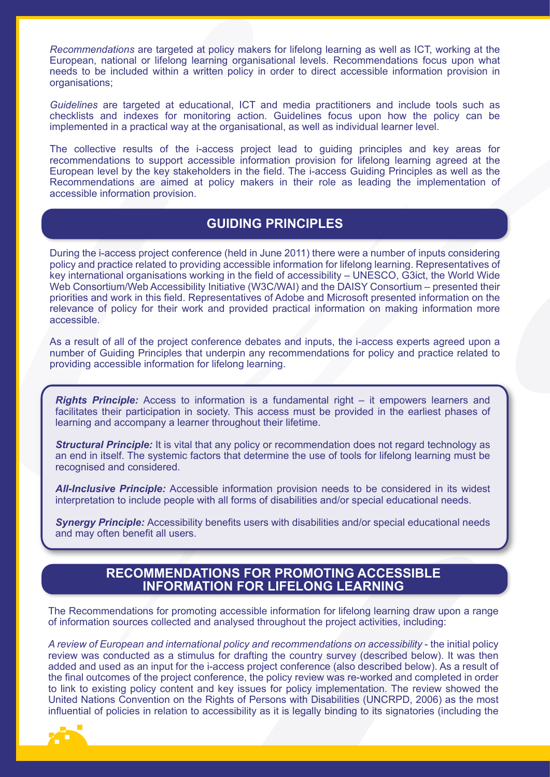*Recommendations* are targeted at policy makers for lifelong learning as well as ICT, working at the European, national or lifelong learning organisational levels. Recommendations focus upon what needs to be included within a written policy in order to direct accessible information provision in organisations;

*Guidelines* are targeted at educational, ICT and media practitioners and include tools such as checklists and indexes for monitoring action. Guidelines focus upon how the policy can be implemented in a practical way at the organisational, as well as individual learner level.

The collective results of the i-access project lead to guiding principles and key areas for recommendations to support accessible information provision for lifelong learning agreed at the European level by the key stakeholders in the field. The i-access Guiding Principles as well as the Recommendations are aimed at policy makers in their role as leading the implementation of accessible information provision.

## **GUIDING PRINCIPLES**

During the i-access project conference (held in June 2011) there were a number of inputs considering policy and practice related to providing accessible information for lifelong learning. Representatives of key international organisations working in the field of accessibility – UNESCO, G3ict, the World Wide Web Consortium/Web Accessibility Initiative (W3C/WAI) and the DAISY Consortium – presented their priorities and work in this field. Representatives of Adobe and Microsoft presented information on the relevance of policy for their work and provided practical information on making information more accessible.

As a result of all of the project conference debates and inputs, the i-access experts agreed upon a number of Guiding Principles that underpin any recommendations for policy and practice related to providing accessible information for lifelong learning.

*Rights Principle:* Access to information is a fundamental right – it empowers learners and facilitates their participation in society. This access must be provided in the earliest phases of learning and accompany a learner throughout their lifetime.

**Structural Principle:** It is vital that any policy or recommendation does not regard technology as an end in itself. The systemic factors that determine the use of tools for lifelong learning must be recognised and considered.

*All-Inclusive Principle:* Accessible information provision needs to be considered in its widest interpretation to include people with all forms of disabilities and/or special educational needs.

**Synergy Principle:** Accessibility benefits users with disabilities and/or special educational needs and may often benefit all users.

## **RECOMMENDATIONS FOR PROMOTING ACCESSIBLE INFORMATION FOR LIFELONG LEARNING**

The Recommendations for promoting accessible information for lifelong learning draw upon a range of information sources collected and analysed throughout the project activities, including:

*A review of European and international policy and recommendations on accessibility* - the initial policy review was conducted as a stimulus for drafting the country survey (described below). It was then added and used as an input for the i-access project conference (also described below). As a result of the final outcomes of the project conference, the policy review was re-worked and completed in order to link to existing policy content and key issues for policy implementation. The review showed the United Nations Convention on the Rights of Persons with Disabilities (UNCRPD, 2006) as the most influential of policies in relation to accessibility as it is legally binding to its signatories (including the

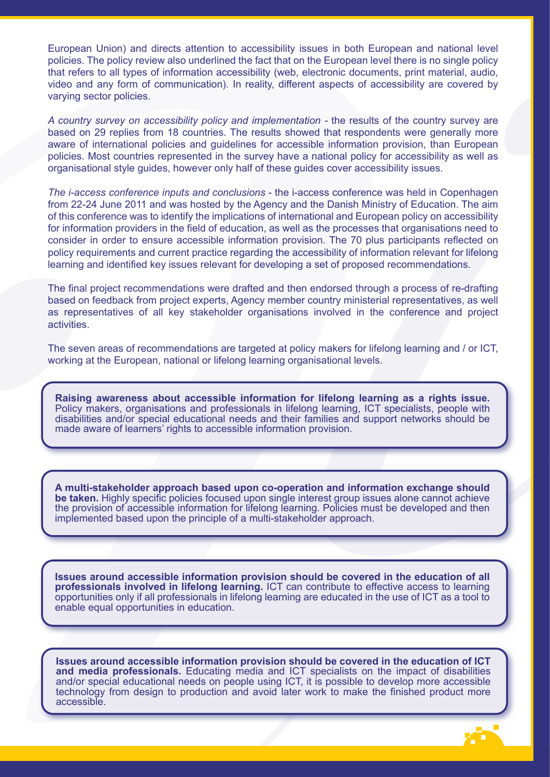European Union) and directs attention to accessibility issues in both European and national level policies. The policy review also underlined the fact that on the European level there is no single policy that refers to all types of information accessibility (web, electronic documents, print material, audio, video and any form of communication). In reality, different aspects of accessibility are covered by varying sector policies.

*A country survey on accessibility policy and implementation -* the results of the country survey are based on 29 replies from 18 countries. The results showed that respondents were generally more aware of international policies and guidelines for accessible information provision, than European policies. Most countries represented in the survey have a national policy for accessibility as well as organisational style guides, however only half of these guides cover accessibility issues.

*The i-access conference inputs and conclusions* - the i-access conference was held in Copenhagen from 22-24 June 2011 and was hosted by the Agency and the Danish Ministry of Education. The aim of this conference was to identify the implications of international and European policy on accessibility for information providers in the field of education, as well as the processes that organisations need to consider in order to ensure accessible information provision. The 70 plus participants reflected on policy requirements and current practice regarding the accessibility of information relevant for lifelong learning and identified key issues relevant for developing a set of proposed recommendations.

The final project recommendations were drafted and then endorsed through a process of re-drafting based on feedback from project experts, Agency member country ministerial representatives, as well as representatives of all key stakeholder organisations involved in the conference and project activities.

The seven areas of recommendations are targeted at policy makers for lifelong learning and / or ICT, working at the European, national or lifelong learning organisational levels.

**Raising awareness about accessible information for lifelong learning as a rights issue.**  Policy makers, organisations and professionals in lifelong learning, ICT specialists, people with disabilities and/or special educational needs and their families and support networks should be made aware of learners' rights to accessible information provision.

**A multi-stakeholder approach based upon co-operation and information exchange should be taken.** Highly specific policies focused upon single interest group issues alone cannot achieve the provision of accessible information for lifelong learning. Policies must be developed and then implemented based upon the principle of a multi-stakeholder approach.

**Issues around accessible information provision should be covered in the education of all professionals involved in lifelong learning.** ICT can contribute to effective access to learning opportunities only if all professionals in lifelong learning are educated in the use of ICT as a tool to enable equal opportunities in education.

**Issues around accessible information provision should be covered in the education of ICT and media professionals.** Educating media and ICT specialists on the impact of disabilities and/or special educational needs on people using ICT, it is possible to develop more accessible technology from design to production and avoid later work to make the finished product more accessible.